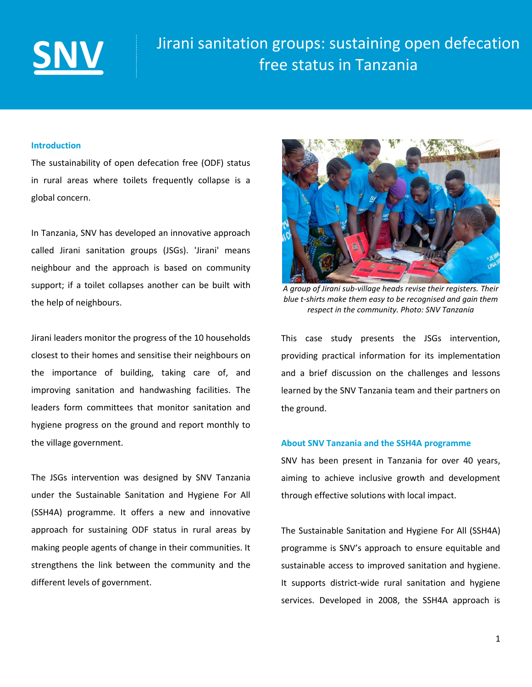

# **NV** Jirani sanitation groups: sustaining open defecation<br> **NV** Jirani sanitation groups: sustaining open defecation free status in Tanzania

#### **Introduction**

The sustainability of open defecation free (ODF) status in rural areas where toilets frequently collapse is a global concern.

In Tanzania, SNV has developed an innovative approach called Jirani sanitation groups (JSGs). 'Jirani' means neighbour and the approach is based on community support; if a toilet collapses another can be built with the help of neighbours.

Jirani leaders monitor the progress of the 10 households closest to their homes and sensitise their neighbours on the importance of building, taking care of, and improving sanitation and handwashing facilities. The leaders form committees that monitor sanitation and hygiene progress on the ground and report monthly to the village government.

The JSGs intervention was designed by SNV Tanzania under the Sustainable Sanitation and Hygiene For All (SSH4A) programme. It offers a new and innovative approach for sustaining ODF status in rural areas by making people agents of change in their communities. It strengthens the link between the community and the different levels of government.



*A group of Jirani sub-village heads revise their registers. Their blue t-shirts make them easy to be recognised and gain them respect in the community. Photo: SNV Tanzania*

This case study presents the JSGs intervention, providing practical information for its implementation and a brief discussion on the challenges and lessons learned by the SNV Tanzania team and their partners on the ground.

#### **About SNV Tanzania and the SSH4A programme**

SNV has been present in Tanzania for over 40 years, aiming to achieve inclusive growth and development through effective solutions with local impact.

The Sustainable Sanitation and Hygiene For All (SSH4A) programme is SNV's approach to ensure equitable and sustainable access to improved sanitation and hygiene. It supports district-wide rural sanitation and hygiene services. Developed in 2008, the SSH4A approach is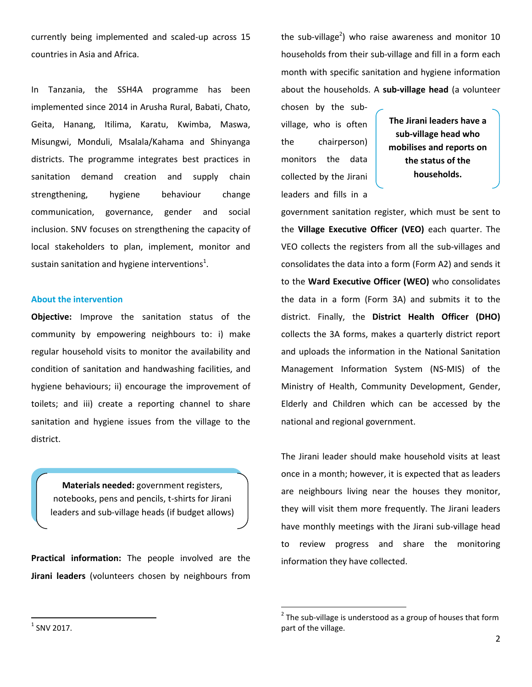currently being implemented and scaled-up across 15 countries in Asia and Africa.

In Tanzania, the SSH4A programme has been implemented since 2014 in Arusha Rural, Babati, Chato, Geita, Hanang, Itilima, Karatu, Kwimba, Maswa, Misungwi, Monduli, Msalala/Kahama and Shinyanga districts. The programme integrates best practices in sanitation demand creation and supply chain strengthening, hygiene behaviour change communication, governance, gender and social inclusion. SNV focuses on strengthening the capacity of local stakeholders to plan, implement, monitor and sustain sanitation and hygiene interventions<sup>1</sup>.

#### **About the intervention**

**Objective:** Improve the sanitation status of the community by empowering neighbours to: i) make regular household visits to monitor the availability and condition of sanitation and handwashing facilities, and hygiene behaviours; ii) encourage the improvement of toilets; and iii) create a reporting channel to share sanitation and hygiene issues from the village to the district.

**Materials needed:** government registers, notebooks, pens and pencils, t-shirts for Jirani leaders and sub-village heads (if budget allows)

**Practical information:** The people involved are the **Jirani leaders** (volunteers chosen by neighbours from

the sub-village<sup>2</sup>) who raise awareness and monitor 10 households from their sub-village and fill in a form each month with specific sanitation and hygiene information about the households. A **sub-village head** (a volunteer

chosen by the subvillage, who is often the chairperson) monitors the data collected by the Jirani leaders and fills in a

**The Jirani leaders have a sub-village head who mobilises and reports on the status of the households.**

government sanitation register, which must be sent to the **Village Executive Officer (VEO)** each quarter. The VEO collects the registers from all the sub-villages and consolidates the data into a form (Form A2) and sends it to the **Ward Executive Officer (WEO)** who consolidates the data in a form (Form 3A) and submits it to the district. Finally, the **District Health Officer (DHO)** collects the 3A forms, makes a quarterly district report and uploads the information in the National Sanitation Management Information System (NS-MIS) of the Ministry of Health, Community Development, Gender, Elderly and Children which can be accessed by the national and regional government.

The Jirani leader should make household visits at least once in a month; however, it is expected that as leaders are neighbours living near the houses they monitor, they will visit them more frequently. The Jirani leaders have monthly meetings with the Jirani sub-village head to review progress and share the monitoring information they have collected.

 $\overline{a}$ 

 $\overline{\phantom{a}}$ 

 $2$  The sub-village is understood as a group of houses that form part of the village.

 $<sup>1</sup>$  SNV 2017.</sup>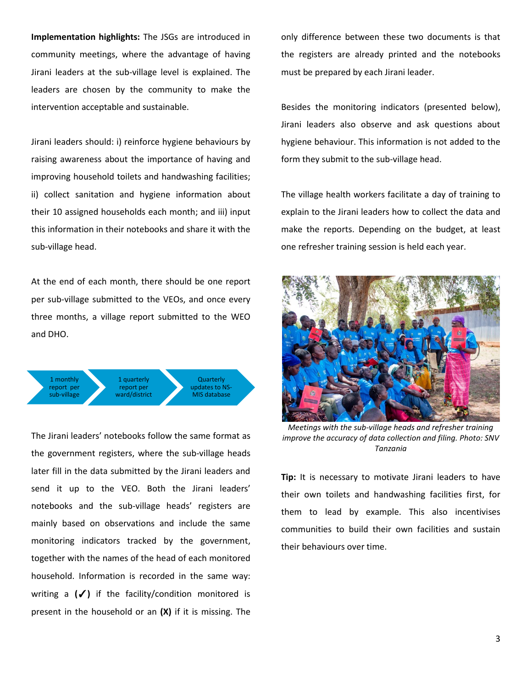**Implementation highlights:** The JSGs are introduced in community meetings, where the advantage of having Jirani leaders at the sub-village level is explained. The leaders are chosen by the community to make the intervention acceptable and sustainable.

Jirani leaders should: i) reinforce hygiene behaviours by raising awareness about the importance of having and improving household toilets and handwashing facilities; ii) collect sanitation and hygiene information about their 10 assigned households each month; and iii) input this information in their notebooks and share it with the sub-village head.

At the end of each month, there should be one report per sub-village submitted to the VEOs, and once every three months, a village report submitted to the WEO and DHO.



The Jirani leaders' notebooks follow the same format as the government registers, where the sub-village heads later fill in the data submitted by the Jirani leaders and send it up to the VEO. Both the Jirani leaders' notebooks and the sub-village heads' registers are mainly based on observations and include the same monitoring indicators tracked by the government, together with the names of the head of each monitored household. Information is recorded in the same way: writing a (√) if the facility/condition monitored is present in the household or an **(X)** if it is missing. The

only difference between these two documents is that the registers are already printed and the notebooks must be prepared by each Jirani leader.

Besides the monitoring indicators (presented below), Jirani leaders also observe and ask questions about hygiene behaviour. This information is not added to the form they submit to the sub-village head.

The village health workers facilitate a day of training to explain to the Jirani leaders how to collect the data and make the reports. Depending on the budget, at least one refresher training session is held each year.



*Meetings with the sub-village heads and refresher training improve the accuracy of data collection and filing. Photo: SNV Tanzania*

**Tip:** It is necessary to motivate Jirani leaders to have their own toilets and handwashing facilities first, for them to lead by example. This also incentivises communities to build their own facilities and sustain their behaviours over time.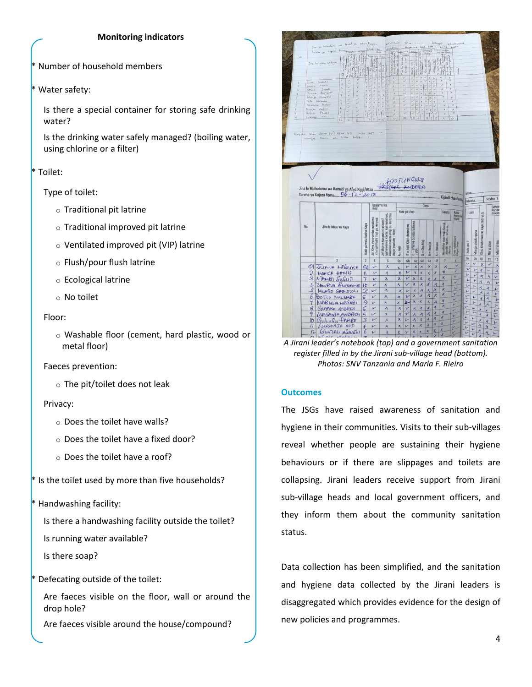# **Monitoring indicators**

\* Number of household members

# \* Water safety:

Is there a special container for storing safe drinking water?

Is the drinking water safely managed? (boiling water, using chlorine or a filter)

# \* Toilet:

Type of toilet:

- o Traditional pit latrine
- o Traditional improved pit latrine
- o Ventilated improved pit (VIP) latrine
- o Flush/pour flush latrine
- o Ecological latrine
- o No toilet

# Floor:

o Washable floor (cement, hard plastic, wood or metal floor)

# Faeces prevention:

o The pit/toilet does not leak

# Privacy:

- o Does the toilet have walls?
- o Does the toilet have a fixed door?
- o Does the toilet have a roof?
- \* Is the toilet used by more than five households?
- Handwashing facility:
	- Is there a handwashing facility outside the toilet?
	- Is running water available?

Is there soap?

- Defecating outside of the toilet:
	- Are faeces visible on the floor, wall or around the drop hole?
	- Are faeces visible around the house/compound?



*A Jirani leader's notebook (top) and a government sanitation register filled in by the Jirani sub-village head (bottom). Photos: SNV Tanzania and María F. Rieiro*

# **Outcomes**

The JSGs have raised awareness of sanitation and hygiene in their communities. Visits to their sub-villages reveal whether people are sustaining their hygiene behaviours or if there are slippages and toilets are collapsing. Jirani leaders receive support from Jirani sub-village heads and local government officers, and they inform them about the community sanitation status.

Data collection has been simplified, and the sanitation and hygiene data collected by the Jirani leaders is disaggregated which provides evidence for the design of new policies and programmes.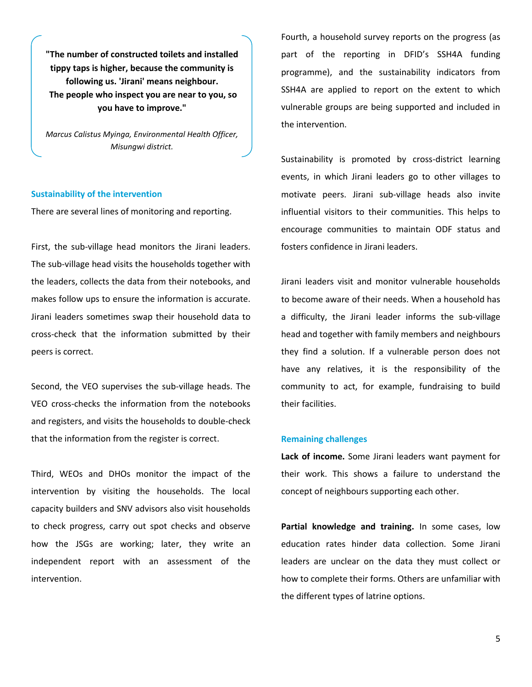**"The number of constructed toilets and installed tippy taps is higher, because the community is following us. 'Jirani' means neighbour. The people who inspect you are near to you, so you have to improve."**

*Marcus Calistus Myinga, Environmental Health Officer, Misungwi district.*

#### **Sustainability of the intervention**

There are several lines of monitoring and reporting.

First, the sub-village head monitors the Jirani leaders. The sub-village head visits the households together with the leaders, collects the data from their notebooks, and makes follow ups to ensure the information is accurate. Jirani leaders sometimes swap their household data to cross-check that the information submitted by their peers is correct.

Second, the VEO supervises the sub-village heads. The VEO cross-checks the information from the notebooks and registers, and visits the households to double-check that the information from the register is correct.

Third, WEOs and DHOs monitor the impact of the intervention by visiting the households. The local capacity builders and SNV advisors also visit households to check progress, carry out spot checks and observe how the JSGs are working; later, they write an independent report with an assessment of the intervention.

Fourth, a household survey reports on the progress (as part of the reporting in DFID's SSH4A funding programme), and the sustainability indicators from SSH4A are applied to report on the extent to which vulnerable groups are being supported and included in the intervention.

Sustainability is promoted by cross-district learning events, in which Jirani leaders go to other villages to motivate peers. Jirani sub-village heads also invite influential visitors to their communities. This helps to encourage communities to maintain ODF status and fosters confidence in Jirani leaders.

Jirani leaders visit and monitor vulnerable households to become aware of their needs. When a household has a difficulty, the Jirani leader informs the sub-village head and together with family members and neighbours they find a solution. If a vulnerable person does not have any relatives, it is the responsibility of the community to act, for example, fundraising to build their facilities.

#### **Remaining challenges**

**Lack of income.** Some Jirani leaders want payment for their work. This shows a failure to understand the concept of neighbours supporting each other.

**Partial knowledge and training.** In some cases, low education rates hinder data collection. Some Jirani leaders are unclear on the data they must collect or how to complete their forms. Others are unfamiliar with the different types of latrine options.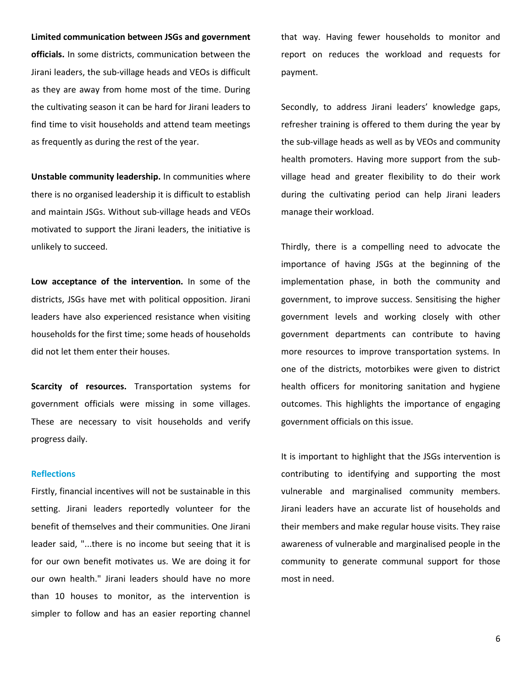#### **Limited communication between JSGs and government**

**officials.** In some districts, communication between the Jirani leaders, the sub-village heads and VEOs is difficult as they are away from home most of the time. During the cultivating season it can be hard for Jirani leaders to find time to visit households and attend team meetings as frequently as during the rest of the year.

**Unstable community leadership.** In communities where there is no organised leadership it is difficult to establish and maintain JSGs. Without sub-village heads and VEOs motivated to support the Jirani leaders, the initiative is unlikely to succeed.

**Low acceptance of the intervention.** In some of the districts, JSGs have met with political opposition. Jirani leaders have also experienced resistance when visiting households for the first time; some heads of households did not let them enter their houses.

**Scarcity of resources.** Transportation systems for government officials were missing in some villages. These are necessary to visit households and verify progress daily.

#### **Reflections**

Firstly, financial incentives will not be sustainable in this setting. Jirani leaders reportedly volunteer for the benefit of themselves and their communities. One Jirani leader said, "...there is no income but seeing that it is for our own benefit motivates us. We are doing it for our own health." Jirani leaders should have no more than 10 houses to monitor, as the intervention is simpler to follow and has an easier reporting channel

that way. Having fewer households to monitor and report on reduces the workload and requests for payment.

Secondly, to address Jirani leaders' knowledge gaps, refresher training is offered to them during the year by the sub-village heads as well as by VEOs and community health promoters. Having more support from the subvillage head and greater flexibility to do their work during the cultivating period can help Jirani leaders manage their workload.

Thirdly, there is a compelling need to advocate the importance of having JSGs at the beginning of the implementation phase, in both the community and government, to improve success. Sensitising the higher government levels and working closely with other government departments can contribute to having more resources to improve transportation systems. In one of the districts, motorbikes were given to district health officers for monitoring sanitation and hygiene outcomes. This highlights the importance of engaging government officials on this issue.

It is important to highlight that the JSGs intervention is contributing to identifying and supporting the most vulnerable and marginalised community members. Jirani leaders have an accurate list of households and their members and make regular house visits. They raise awareness of vulnerable and marginalised people in the community to generate communal support for those most in need.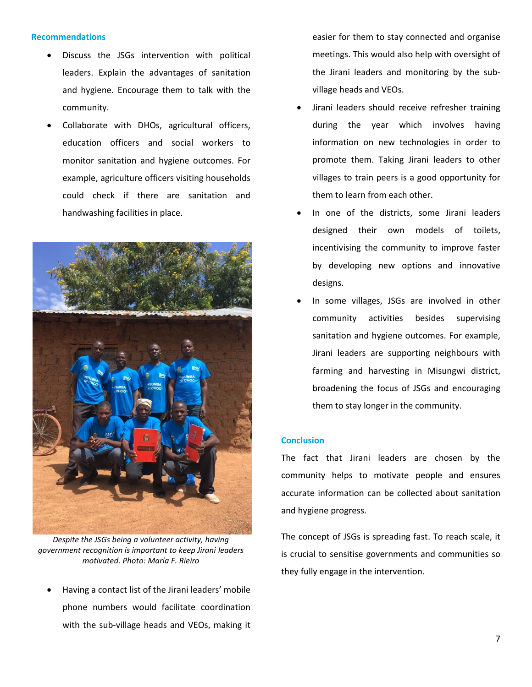#### **Recommendations**

- Discuss the JSGs intervention with political leaders. Explain the advantages of sanitation and hygiene. Encourage them to talk with the community.
- Collaborate with DHOs, agricultural officers, education officers and social workers to monitor sanitation and hygiene outcomes. For example, agriculture officers visiting households could check if there are sanitation and handwashing facilities in place.



*Despite the JSGs being a volunteer activity, having government recognition is important to keep Jirani leaders motivated. Photo: María F. Rieiro*

 Having a contact list of the Jirani leaders' mobile phone numbers would facilitate coordination with the sub-village heads and VEOs, making it

easier for them to stay connected and organise meetings. This would also help with oversight of the Jirani leaders and monitoring by the subvillage heads and VEOs.

- Jirani leaders should receive refresher training during the year which involves having information on new technologies in order to promote them. Taking Jirani leaders to other villages to train peers is a good opportunity for them to learn from each other.
- In one of the districts, some Jirani leaders designed their own models of toilets, incentivising the community to improve faster by developing new options and innovative designs.
- In some villages, JSGs are involved in other community activities besides supervising sanitation and hygiene outcomes. For example, Jirani leaders are supporting neighbours with farming and harvesting in Misungwi district, broadening the focus of JSGs and encouraging them to stay longer in the community.

## **Conclusion**

The fact that Jirani leaders are chosen by the community helps to motivate people and ensures accurate information can be collected about sanitation and hygiene progress.

The concept of JSGs is spreading fast. To reach scale, it is crucial to sensitise governments and communities so they fully engage in the intervention.